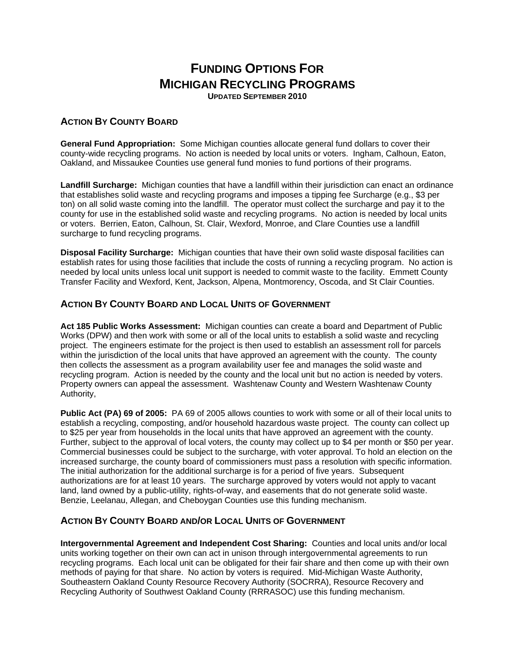# **FUNDING OPTIONS FOR MICHIGAN RECYCLING PROGRAMS**

**UPDATED SEPTEMBER 2010** 

## **ACTION BY COUNTY BOARD**

**General Fund Appropriation:** Some Michigan counties allocate general fund dollars to cover their county-wide recycling programs. No action is needed by local units or voters. Ingham, Calhoun, Eaton, Oakland, and Missaukee Counties use general fund monies to fund portions of their programs.

**Landfill Surcharge:** Michigan counties that have a landfill within their jurisdiction can enact an ordinance that establishes solid waste and recycling programs and imposes a tipping fee Surcharge (e.g., \$3 per ton) on all solid waste coming into the landfill. The operator must collect the surcharge and pay it to the county for use in the established solid waste and recycling programs. No action is needed by local units or voters. Berrien, Eaton, Calhoun, St. Clair, Wexford, Monroe, and Clare Counties use a landfill surcharge to fund recycling programs.

**Disposal Facility Surcharge:** Michigan counties that have their own solid waste disposal facilities can establish rates for using those facilities that include the costs of running a recycling program. No action is needed by local units unless local unit support is needed to commit waste to the facility. Emmett County Transfer Facility and Wexford, Kent, Jackson, Alpena, Montmorency, Oscoda, and St Clair Counties.

#### **ACTION BY COUNTY BOARD AND LOCAL UNITS OF GOVERNMENT**

**Act 185 Public Works Assessment:** Michigan counties can create a board and Department of Public Works (DPW) and then work with some or all of the local units to establish a solid waste and recycling project. The engineers estimate for the project is then used to establish an assessment roll for parcels within the jurisdiction of the local units that have approved an agreement with the county. The county then collects the assessment as a program availability user fee and manages the solid waste and recycling program. Action is needed by the county and the local unit but no action is needed by voters. Property owners can appeal the assessment. Washtenaw County and Western Washtenaw County Authority,

**Public Act (PA) 69 of 2005:** PA 69 of 2005 allows counties to work with some or all of their local units to establish a recycling, composting, and/or household hazardous waste project. The county can collect up to \$25 per year from households in the local units that have approved an agreement with the county. Further, subject to the approval of local voters, the county may collect up to \$4 per month or \$50 per year. Commercial businesses could be subject to the surcharge, with voter approval. To hold an election on the increased surcharge, the county board of commissioners must pass a resolution with specific information. The initial authorization for the additional surcharge is for a period of five years. Subsequent authorizations are for at least 10 years. The surcharge approved by voters would not apply to vacant land, land owned by a public-utility, rights-of-way, and easements that do not generate solid waste. Benzie, Leelanau, Allegan, and Cheboygan Counties use this funding mechanism.

### **ACTION BY COUNTY BOARD AND/OR LOCAL UNITS OF GOVERNMENT**

**Intergovernmental Agreement and Independent Cost Sharing:** Counties and local units and/or local units working together on their own can act in unison through intergovernmental agreements to run recycling programs. Each local unit can be obligated for their fair share and then come up with their own methods of paying for that share. No action by voters is required. Mid-Michigan Waste Authority, Southeastern Oakland County Resource Recovery Authority (SOCRRA), Resource Recovery and Recycling Authority of Southwest Oakland County (RRRASOC) use this funding mechanism.